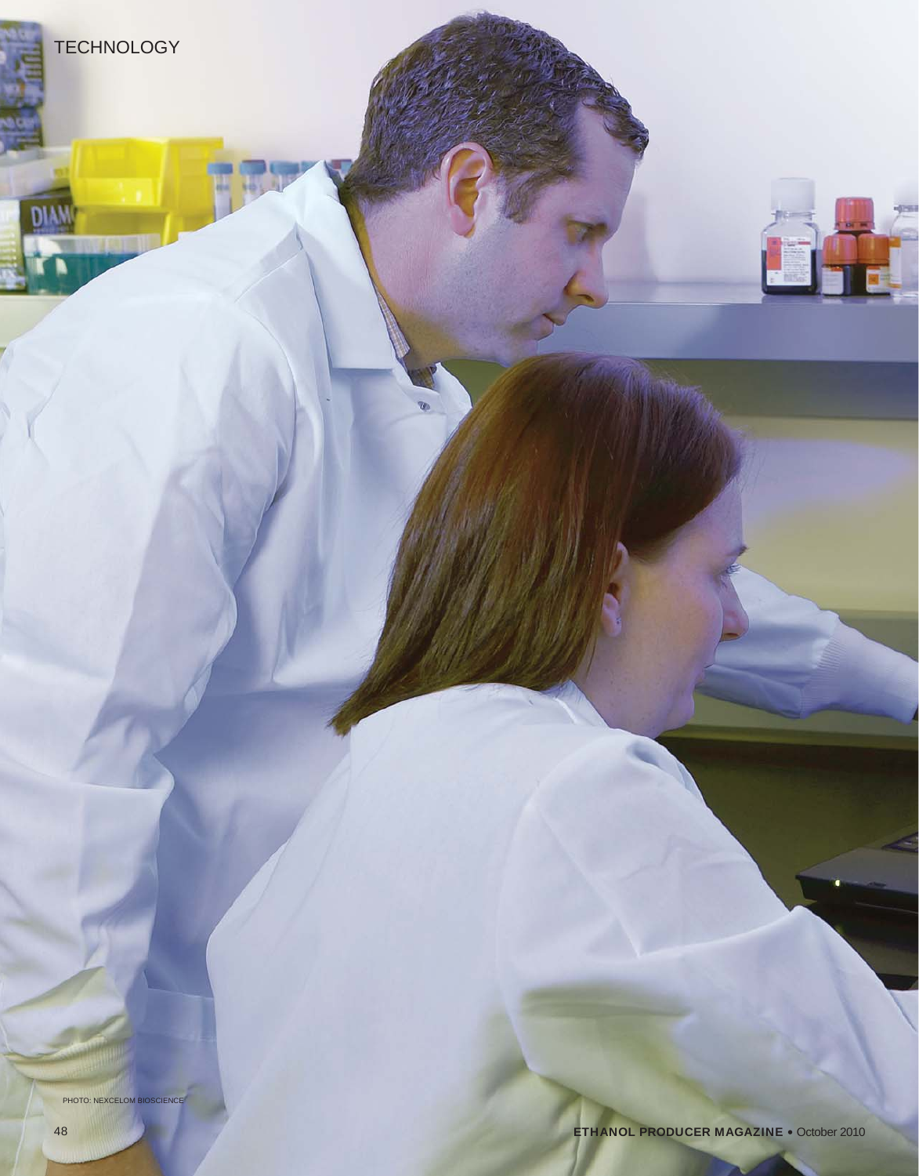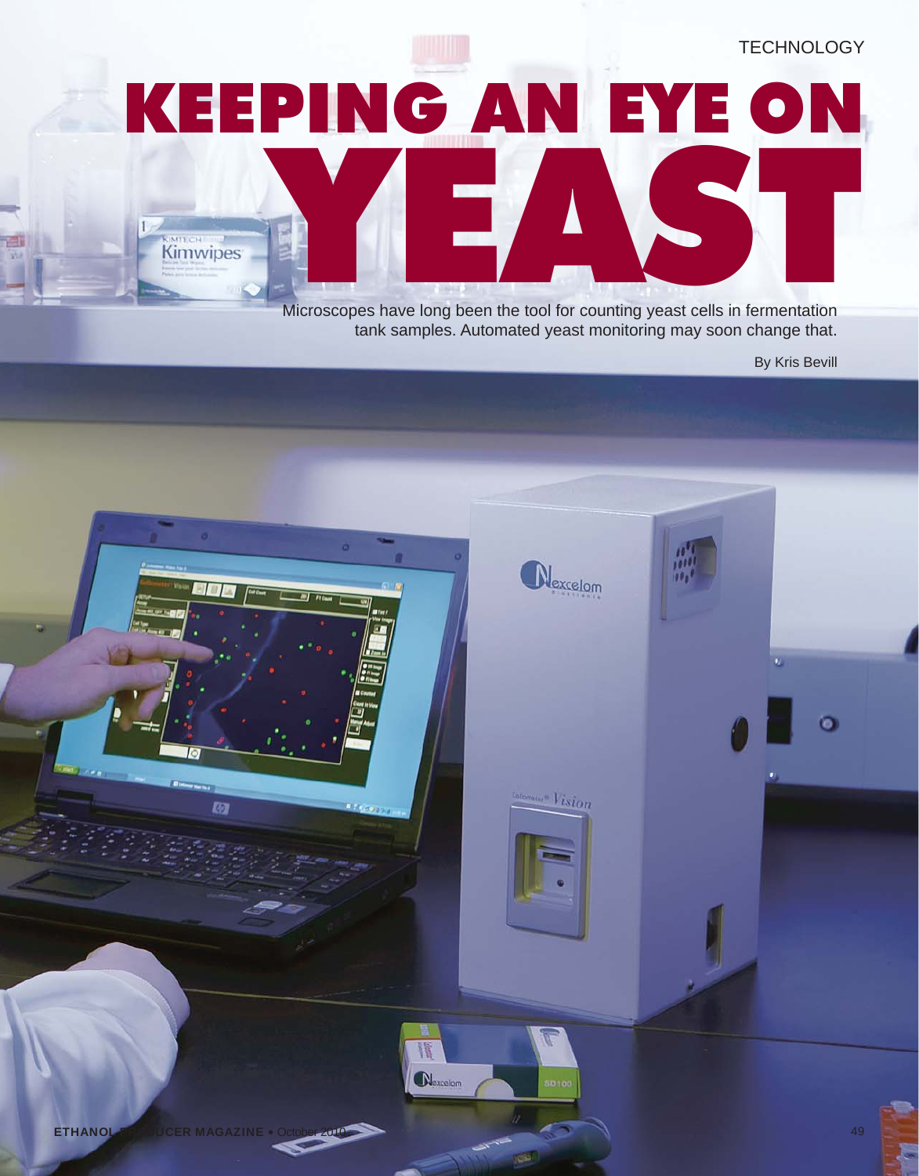**TECHNOLOGY** KEEPING AN EYE ON Microscopes have long been the tool for counting yeast cells in fermentation **KIMTECH** 

tank samples. Automated yeast monitoring may soon change that.

By Kris Bevill

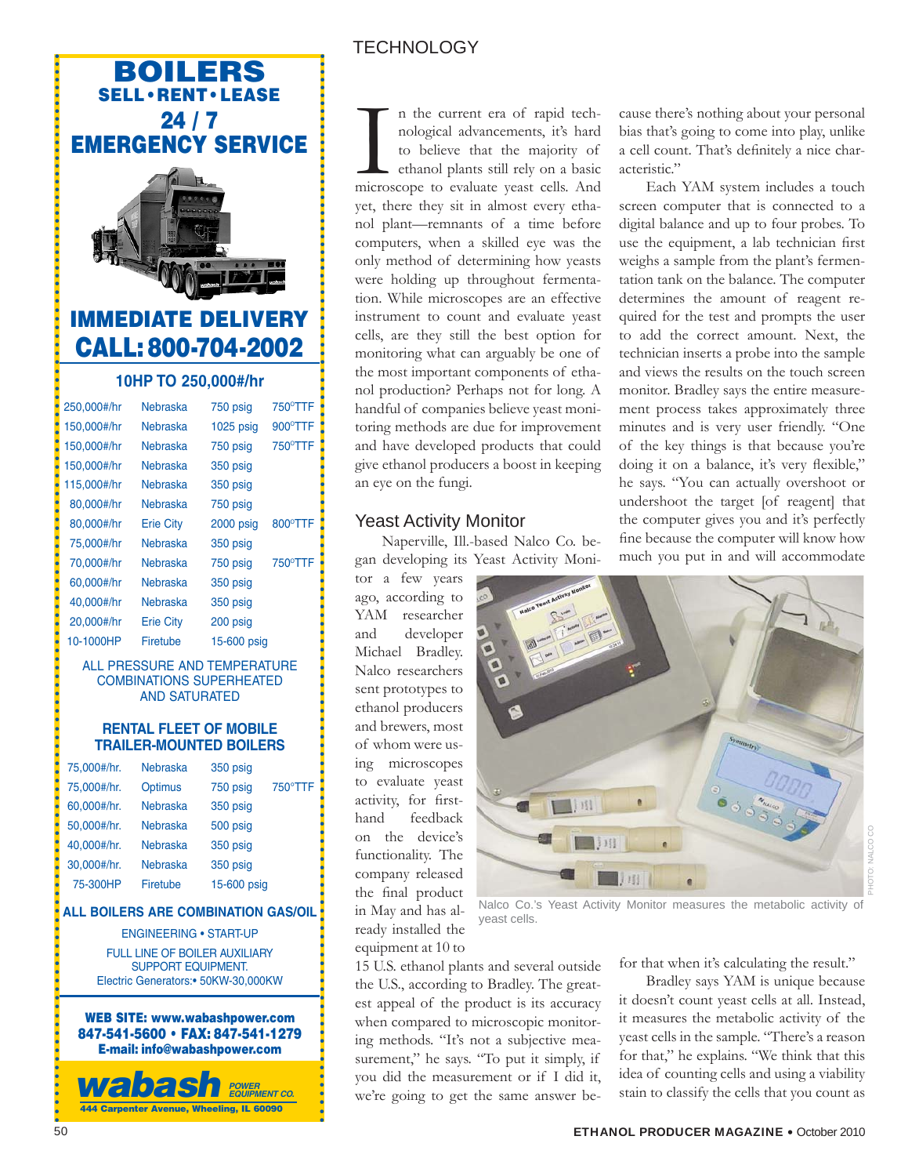## **BOILERS SELL•RENT•LEASE 24 / 7 EMERGENCY SERVICE**



• • • • • • • • • • • • • • • • • • • • • • • • • • • • • • • • • • • • • • • • • • • • • • • • • • • • • • • • • • • • • • • • • • • • • • • • • • • • • • • • • • • • • • • • • •

• • • • • • • • • • • • • • • • • • • • • • • • • • • • •

# **IMMEDIATE DELIVERY CALL:800-704-2002**

### **10HP TO 250,000#/hr**

| 250,000#/hr | Nebraska         | 750 psig    | 750°TTF |
|-------------|------------------|-------------|---------|
| 150,000#/hr | Nebraska         | $1025$ psig | 900°TTF |
| 150,000#/hr | Nebraska         | 750 psig    | 750°TTF |
| 150,000#/hr | Nebraska         | 350 psig    |         |
| 115,000#/hr | Nebraska         | 350 psig    |         |
| 80,000#/hr  | Nebraska         | 750 psig    |         |
| 80,000#/hr  | <b>Erie City</b> | 2000 psig   | 800°TTF |
| 75.000#/hr  | Nebraska         | 350 psig    |         |
| 70,000#/hr  | Nebraska         | 750 psig    | 750°TTF |
| 60.000#/hr  | Nebraska         | 350 psig    |         |
| 40,000#/hr  | Nebraska         | 350 psig    |         |
| 20,000#/hr  | <b>Erie City</b> | 200 psig    |         |
| 10-1000HP   | Firetube         | 15-600 psig |         |
|             |                  |             |         |

#### ALL PRESSURE AND TEMPERATURE COMBINATIONS SUPERHEATED AND SATURATED

### **RENTAL FLEET OF MOBILE TRAILER-MOUNTED BOILERS**

| 75,000#/hr. | <b>Nebraska</b> | 350 psig    |         |
|-------------|-----------------|-------------|---------|
| 75,000#/hr. | <b>Optimus</b>  | 750 psig    | 750°TTF |
| 60,000#/hr. | <b>Nebraska</b> | 350 psig    |         |
| 50,000#/hr. | <b>Nebraska</b> | 500 psig    |         |
| 40,000#/hr. | <b>Nebraska</b> | 350 psig    |         |
| 30,000#/hr. | <b>Nebraska</b> | 350 psig    |         |
| 75-300HP    | Firetube        | 15-600 psig |         |

### **ALL BOILERS ARE COMBINATION GAS/OIL**

#### ENGINEERING • START-UP

FULL LINE OF BOILER AUXILIARY SUPPORT EQUIPMENT. Electric Generators:• 50KW-30,000KW

**WEB SITE: www.wabashpower.com 847-541-5600 • FAX: 847-541-1279 E-mail: info@wabashpower.com**

*wabash* **444 Carpenter Avenue, Wheeling, IL 60090** *POWER EQUIPMENT CO.*

## **TECHNOLOGY**

In the current era of rapid technological advancements, it's hard to believe that the majority of ethanol plants still rely on a basic microscope to evaluate yeast cells. And n the current era of rapid technological advancements, it's hard to believe that the majority of ethanol plants still rely on a basic yet, there they sit in almost every ethanol plant—remnants of a time before computers, when a skilled eye was the only method of determining how yeasts were holding up throughout fermentation. While microscopes are an effective instrument to count and evaluate yeast cells, are they still the best option for monitoring what can arguably be one of the most important components of ethanol production? Perhaps not for long. A handful of companies believe yeast monitoring methods are due for improvement and have developed products that could give ethanol producers a boost in keeping an eye on the fungi.

### Yeast Activity Monitor

Naperville, Ill.-based Nalco Co. began developing its Yeast Activity Moni-

tor a few years ago, according to YAM researcher and developer Michael Bradley. Nalco researchers sent prototypes to ethanol producers and brewers, most of whom were using microscopes to evaluate yeast activity, for firsthand feedback on the device's functionality. The company released the final product in May and has already installed the equipment at 10 to

• • • • • • • • • • • • • • • • • • • • • • • • • • • • • • • • • • • • • • • • • • • • • • • • • • • • • •

• • • • • • • • • • • • •

• • • • • • • • • • • • • • • • • • • • • • • • • • • • •

> $1111$ 期

Nalco Co.'s Yeast Activity Monitor measures the metabolic activity of yeast cells.

15 U.S. ethanol plants and several outside the U.S., according to Bradley. The greatest appeal of the product is its accuracy when compared to microscopic monitoring methods. "It's not a subjective measurement," he says. "To put it simply, if you did the measurement or if I did it, we're going to get the same answer befor that when it's calculating the result."

PHOTO: NALCO CO

cause there's nothing about your personal bias that's going to come into play, unlike a cell count. That's definitely a nice char-

Each YAM system includes a touch screen computer that is connected to a digital balance and up to four probes. To use the equipment, a lab technician first weighs a sample from the plant's fermentation tank on the balance. The computer determines the amount of reagent required for the test and prompts the user to add the correct amount. Next, the technician inserts a probe into the sample and views the results on the touch screen monitor. Bradley says the entire measurement process takes approximately three minutes and is very user friendly. "One of the key things is that because you're doing it on a balance, it's very flexible," he says. "You can actually overshoot or undershoot the target [of reagent] that the computer gives you and it's perfectly fine because the computer will know how much you put in and will accommodate

acteristic."

Bradley says YAM is unique because it doesn't count yeast cells at all. Instead, it measures the metabolic activity of the yeast cells in the sample. "There's a reason for that," he explains. "We think that this idea of counting cells and using a viability stain to classify the cells that you count as

• • • •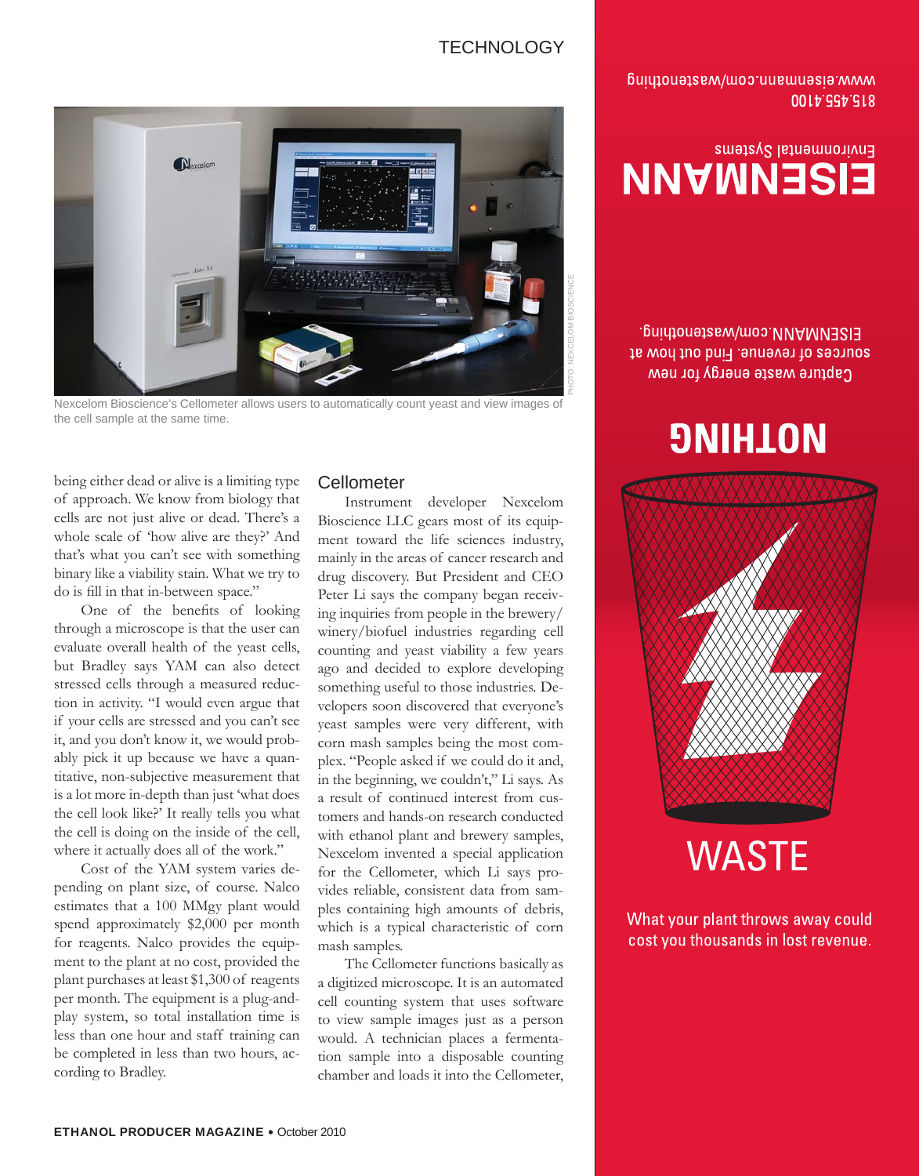### **TECHNOLOGY**

www.eisempo.com/wastermand 0014,254,218

# Environmental Systems **EISENMANN**

EISENMANN.com/wastenothing. sources of revenue, Find out how at Capture waste energy for new

# **9NIHLON**



# **WASTE**

What your plant throws away could cost you thousands in lost revenue.



Nexcelom Bioscience's Cellometer allows users to automatically count yeast and view images of the cell sample at the same time.

being either dead or alive is a limiting type of approach. We know from biology that cells are not just alive or dead. There's a whole scale of 'how alive are they?' And that's what you can't see with something binary like a viability stain. What we try to do is fill in that in-between space."

One of the benefits of looking through a microscope is that the user can evaluate overall health of the yeast cells, but Bradley says YAM can also detect stressed cells through a measured reduction in activity. "I would even argue that if your cells are stressed and you can't see it, and you don't know it, we would probably pick it up because we have a quantitative, non-subjective measurement that is a lot more in-depth than just 'what does the cell look like?' It really tells you what the cell is doing on the inside of the cell, where it actually does all of the work."

Cost of the YAM system varies depending on plant size, of course. Nalco estimates that a 100 MMgy plant would spend approximately \$2,000 per month for reagents. Nalco provides the equipment to the plant at no cost, provided the plant purchases at least \$1,300 of reagents per month. The equipment is a plug-andplay system, so total installation time is less than one hour and staff training can be completed in less than two hours, according to Bradley.

### **Cellometer**

Instrument developer Nexcelom Bioscience LLC gears most of its equipment toward the life sciences industry, mainly in the areas of cancer research and drug discovery. But President and CEO Peter Li says the company began receiving inquiries from people in the brewery/ winery/biofuel industries regarding cell counting and yeast viability a few years ago and decided to explore developing something useful to those industries. Developers soon discovered that everyone's yeast samples were very different, with corn mash samples being the most complex. "People asked if we could do it and, in the beginning, we couldn't," Li says. As a result of continued interest from customers and hands-on research conducted with ethanol plant and brewery samples, Nexcelom invented a special application for the Cellometer, which Li says provides reliable, consistent data from samples containing high amounts of debris, which is a typical characteristic of corn mash samples.

The Cellometer functions basically as a digitized microscope. It is an automated cell counting system that uses software to view sample images just as a person would. A technician places a fermentation sample into a disposable counting chamber and loads it into the Cellometer,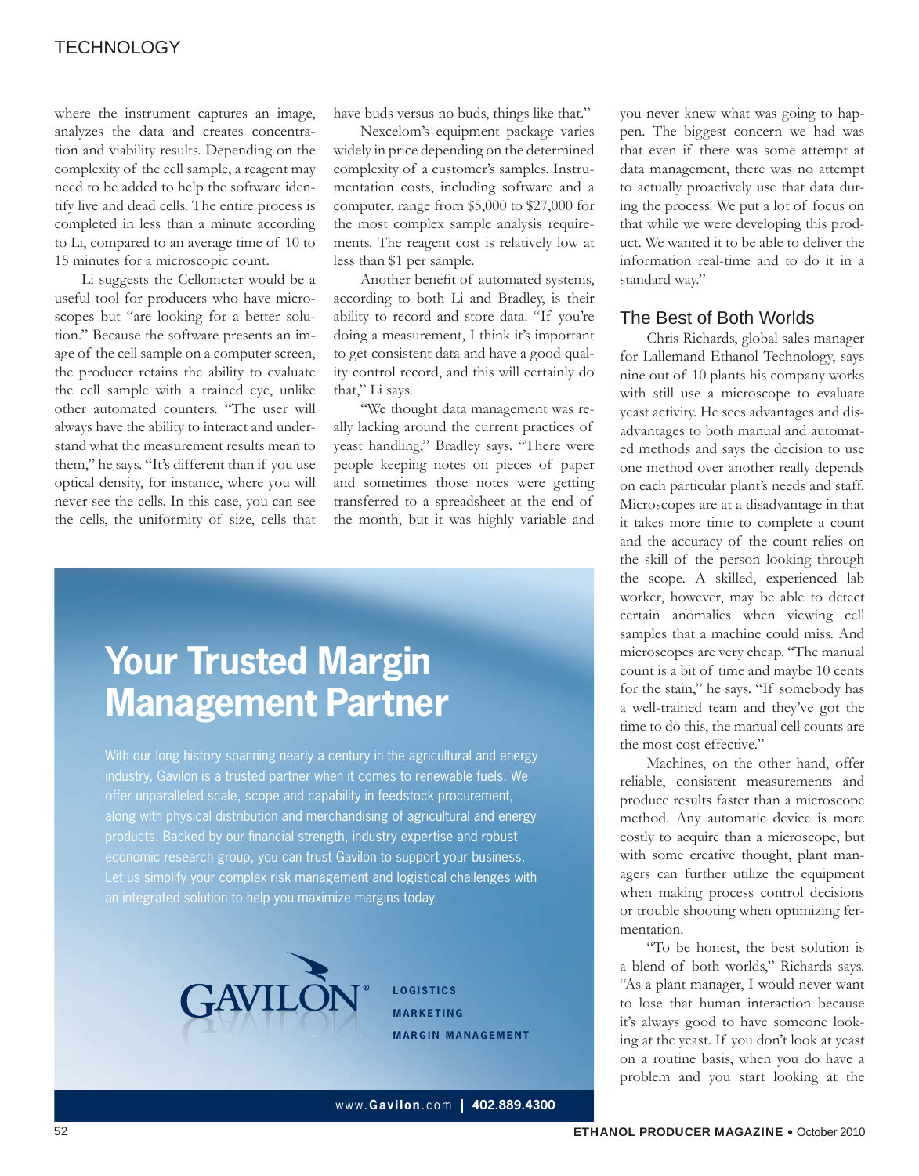### **TECHNOLOGY**

where the instrument captures an image, analyzes the data and creates concentration and viability results. Depending on the complexity of the cell sample, a reagent may need to be added to help the software identify live and dead cells. The entire process is completed in less than a minute according to Li, compared to an average time of 10 to 15 minutes for a microscopic count.

Li suggests the Cellometer would be a useful tool for producers who have microscopes but "are looking for a better solution." Because the software presents an image of the cell sample on a computer screen, the producer retains the ability to evaluate the cell sample with a trained eye, unlike other automated counters. "The user will always have the ability to interact and understand what the measurement results mean to them," he says. "It's different than if you use optical density, for instance, where you will never see the cells. In this case, you can see the cells, the uniformity of size, cells that have buds versus no buds, things like that."

Nexcelom's equipment package varies widely in price depending on the determined complexity of a customer's samples. Instrumentation costs, including software and a computer, range from \$5,000 to \$27,000 for the most complex sample analysis requirements. The reagent cost is relatively low at less than \$1 per sample.

Another benefit of automated systems, according to both Li and Bradley, is their ability to record and store data. "If you're doing a measurement, I think it's important to get consistent data and have a good quality control record, and this will certainly do that," Li says.

"We thought data management was really lacking around the current practices of yeast handling," Bradley says. "There were people keeping notes on pieces of paper and sometimes those notes were getting transferred to a spreadsheet at the end of the month, but it was highly variable and

# **Your Trusted Margin Management Partner**

With our long history spanning nearly a century in the agricultural and energy industry, Gavilon is a trusted partner when it comes to renewable fuels. We offer unparalleled scale, scope and capability in feedstock procurement, along with physical distribution and merchandising of agricultural and energy products. Backed by our financial strength, industry expertise and robust economic research group, you can trust Gavilon to support your business. Let us simplify your complex risk management and logistical challenges with an integrated solution to help you maximize margins today.



**LOGISTICS MARKETING MARGIN MANAGEMENT**

you never knew what was going to happen. The biggest concern we had was that even if there was some attempt at data management, there was no attempt to actually proactively use that data during the process. We put a lot of focus on that while we were developing this product. We wanted it to be able to deliver the information real-time and to do it in a standard way."

### The Best of Both Worlds

Chris Richards, global sales manager for Lallemand Ethanol Technology, says nine out of 10 plants his company works with still use a microscope to evaluate yeast activity. He sees advantages and disadvantages to both manual and automated methods and says the decision to use one method over another really depends on each particular plant's needs and staff. Microscopes are at a disadvantage in that it takes more time to complete a count and the accuracy of the count relies on the skill of the person looking through the scope. A skilled, experienced lab worker, however, may be able to detect certain anomalies when viewing cell samples that a machine could miss. And microscopes are very cheap. "The manual count is a bit of time and maybe 10 cents for the stain," he says. "If somebody has a well-trained team and they've got the time to do this, the manual cell counts are the most cost effective."

Machines, on the other hand, offer reliable, consistent measurements and produce results faster than a microscope method. Any automatic device is more costly to acquire than a microscope, but with some creative thought, plant managers can further utilize the equipment when making process control decisions or trouble shooting when optimizing fermentation.

"To be honest, the best solution is a blend of both worlds," Richards says. "As a plant manager, I would never want to lose that human interaction because it's always good to have someone looking at the yeast. If you don't look at yeast on a routine basis, when you do have a problem and you start looking at the

www.**Gavilon**.com **402.889.4300**